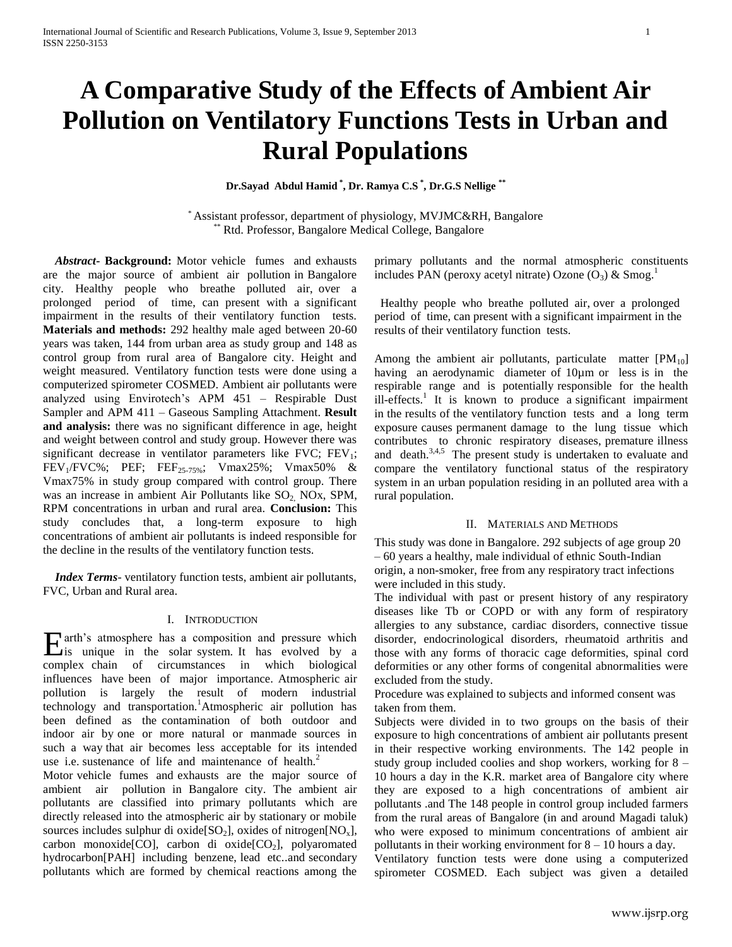# **A Comparative Study of the Effects of Ambient Air Pollution on Ventilatory Functions Tests in Urban and Rural Populations**

**Dr.Sayad Abdul Hamid \* , Dr. Ramya C.S \* , Dr.G.S Nellige \*\***

\* Assistant professor, department of physiology, MVJMC&RH, Bangalore \*\* Rtd. Professor, Bangalore Medical College, Bangalore

 *Abstract***- Background:** Motor vehicle fumes and exhausts are the major source of ambient air pollution in Bangalore city. Healthy people who breathe polluted air, over a prolonged period of time, can present with a significant impairment in the results of their ventilatory function tests. **Materials and methods:** 292 healthy male aged between 20-60 years was taken, 144 from urban area as study group and 148 as control group from rural area of Bangalore city. Height and weight measured. Ventilatory function tests were done using a computerized spirometer COSMED. Ambient air pollutants were analyzed using Envirotech's APM 451 – Respirable Dust Sampler and APM 411 – Gaseous Sampling Attachment. **Result and analysis:** there was no significant difference in age, height and weight between control and study group. However there was significant decrease in ventilator parameters like  $FVC$ ;  $FEV_1$ ; FEV<sub>1</sub>/FVC%; PEF; FEF<sub>25-75%</sub>; Vmax25%; Vmax50% & Vmax75% in study group compared with control group. There was an increase in ambient Air Pollutants like SO<sub>2</sub>, NO<sub>x</sub>, SPM, RPM concentrations in urban and rural area. **Conclusion:** This study concludes that, a long-term exposure to high concentrations of ambient air pollutants is indeed responsible for the decline in the results of the ventilatory function tests.

 *Index Terms*- ventilatory function tests, ambient air pollutants, FVC, Urban and Rural area.

# I. INTRODUCTION

arth's atmosphere has a composition and pressure which Earth's atmosphere has a composition and pressure which<br>is unique in the solar system. It has evolved by a complex chain of circumstances in which biological influences have been of major importance. Atmospheric air pollution is largely the result of modern industrial technology and transportation.<sup>1</sup>Atmospheric air pollution has been defined as the contamination of both outdoor and indoor air by one or more natural or manmade sources in such a way that air becomes less acceptable for its intended use i.e. sustenance of life and maintenance of health.<sup>2</sup>

Motor vehicle fumes and exhausts are the major source of ambient air pollution in Bangalore city. The ambient air pollutants are classified into primary pollutants which are directly released into the atmospheric air by stationary or mobile sources includes sulphur di oxide[ $SO_2$ ], oxides of nitrogen[ $NO_x$ ], carbon monoxide[CO], carbon di oxide[CO<sub>2</sub>], polyaromated hydrocarbon[PAH] including benzene, lead etc..and secondary pollutants which are formed by chemical reactions among the

primary pollutants and the normal atmospheric constituents includes PAN (peroxy acetyl nitrate) Ozone  $(O_3)$  & Smog.<sup>1</sup>

 Healthy people who breathe polluted air, over a prolonged period of time, can present with a significant impairment in the results of their ventilatory function tests.

Among the ambient air pollutants, particulate matter  $[PM_{10}]$ having an aerodynamic diameter of 10um or less is in the respirable range and is potentially responsible for the health ill-effects.<sup>1</sup> It is known to produce a significant impairment in the results of the ventilatory function tests and a long term exposure causes permanent damage to the lung tissue which contributes to chronic respiratory diseases, premature illness and death. $3,4,5$  The present study is undertaken to evaluate and compare the ventilatory functional status of the respiratory system in an urban population residing in an polluted area with a rural population.

# II. MATERIALS AND METHODS

This study was done in Bangalore. 292 subjects of age group 20 – 60 years a healthy, male individual of ethnic South-Indian origin, a non-smoker, free from any respiratory tract infections were included in this study.

The individual with past or present history of any respiratory diseases like Tb or COPD or with any form of respiratory allergies to any substance, cardiac disorders, connective tissue disorder, endocrinological disorders, rheumatoid arthritis and those with any forms of thoracic cage deformities, spinal cord deformities or any other forms of congenital abnormalities were excluded from the study.

Procedure was explained to subjects and informed consent was taken from them.

Subjects were divided in to two groups on the basis of their exposure to high concentrations of ambient air pollutants present in their respective working environments. The 142 people in study group included coolies and shop workers, working for 8 – 10 hours a day in the K.R. market area of Bangalore city where they are exposed to a high concentrations of ambient air pollutants .and The 148 people in control group included farmers from the rural areas of Bangalore (in and around Magadi taluk) who were exposed to minimum concentrations of ambient air pollutants in their working environment for 8 – 10 hours a day.

Ventilatory function tests were done using a computerized spirometer COSMED. Each subject was given a detailed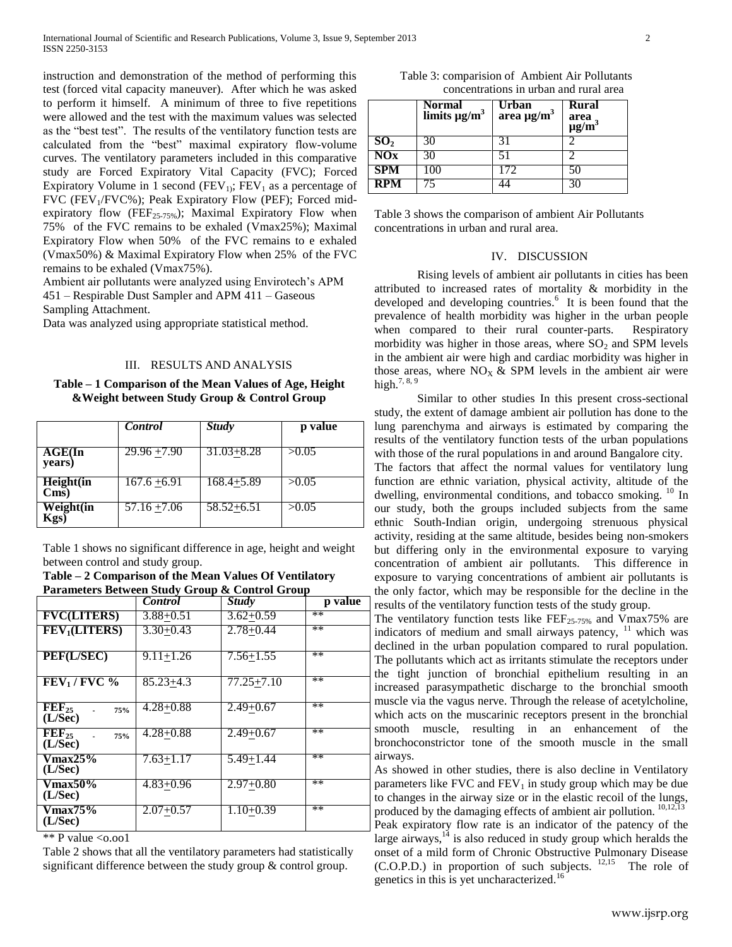instruction and demonstration of the method of performing this test (forced vital capacity maneuver). After which he was asked to perform it himself. A minimum of three to five repetitions were allowed and the test with the maximum values was selected as the "best test". The results of the ventilatory function tests are calculated from the "best" maximal expiratory flow-volume curves. The ventilatory parameters included in this comparative study are Forced Expiratory Vital Capacity (FVC); Forced Expiratory Volume in 1 second ( $FEV<sub>1</sub>$ ;  $FEV<sub>1</sub>$  as a percentage of FVC (FEV<sub>1</sub>/FVC%); Peak Expiratory Flow (PEF); Forced midexpiratory flow (FEF<sub>25-75%</sub>); Maximal Expiratory Flow when 75% of the FVC remains to be exhaled (Vmax25%); Maximal Expiratory Flow when 50% of the FVC remains to e exhaled (Vmax50%) & Maximal Expiratory Flow when 25% of the FVC remains to be exhaled (Vmax75%).

Ambient air pollutants were analyzed using Envirotech's APM 451 – Respirable Dust Sampler and APM 411 – Gaseous Sampling Attachment.

Data was analyzed using appropriate statistical method.

#### III. RESULTS AND ANALYSIS

**Table – 1 Comparison of the Mean Values of Age, Height &Weight between Study Group & Control Group**

|                   | Control        | <b>Study</b>   | p value |
|-------------------|----------------|----------------|---------|
| AGE(In<br>years)  | $29.96 + 7.90$ | $31.03 + 8.28$ | >0.05   |
| Height(in<br>Cms) | $167.6 + 6.91$ | 168.4+5.89     | >0.05   |
| Weight(in<br>ζgs  | $57.16 + 7.06$ | $58.52 + 6.51$ | >0.05   |

Table 1 shows no significant difference in age, height and weight between control and study group.

**Table – 2 Comparison of the Mean Values Of Ventilatory Parameters Between Study Group & Control Group**

|                                                | Control       | <b>Study</b>  | p value |
|------------------------------------------------|---------------|---------------|---------|
| <b>FVC(LITERS)</b>                             | $3.88 + 0.51$ | $3.62 + 0.59$ | **      |
| FEV <sub>1</sub> (LITERS)                      | $3.30+0.43$   | $2.78 + 0.44$ | $**$    |
| PEF(L/SEC)                                     | $9.11 + 1.26$ | $7.56 + 1.55$ | $**$    |
| $FEV1/FVC$ %                                   | $85.23 + 4.3$ | 77.25+7.10    | $**$    |
| $\overline{\text{FEF}_{25}}$<br>75%<br>(L/Sec) | $4.28 + 0.88$ | $2.49 + 0.67$ | **      |
| $\text{FEF}_{25}$<br>75%<br>(L/Sec)            | $4.28 + 0.88$ | $2.49 + 0.67$ | **      |
| <b>Vmax25%</b><br>(L/Sec)                      | 7.63+1.17     | $5.49 + 1.44$ | $**$    |
| <b>Vmax50%</b><br>(L/Sec)                      | $4.83 + 0.96$ | $2.97+0.80$   | **      |
| Vmax75%<br>(L/Sec)                             | $2.07 + 0.57$ | $1.10+0.39$   | $**$    |

\*\* P value  $\leq 0.001$ 

Table 2 shows that all the ventilatory parameters had statistically significant difference between the study group & control group.

| Table 3: comparision of Ambient Air Pollutants |  |  |  |  |
|------------------------------------------------|--|--|--|--|
| concentrations in urban and rural area         |  |  |  |  |

|                 | <b>Normal</b><br>limits $\mu g/m^3$ | Urban<br>area $\mu$ g/m <sup>3</sup> | <b>Rural</b><br>area<br>$\mu$ g/m <sup>3</sup> |
|-----------------|-------------------------------------|--------------------------------------|------------------------------------------------|
| SO <sub>2</sub> |                                     |                                      |                                                |
| NOx             |                                     |                                      |                                                |
| <b>SPM</b>      |                                     |                                      |                                                |
| RPM             |                                     |                                      |                                                |

Table 3 shows the comparison of ambient Air Pollutants concentrations in urban and rural area.

#### IV. DISCUSSION

Rising levels of ambient air pollutants in cities has been attributed to increased rates of mortality & morbidity in the developed and developing countries.<sup>6</sup> It is been found that the prevalence of health morbidity was higher in the urban people when compared to their rural counter-parts. Respiratory morbidity was higher in those areas, where  $SO<sub>2</sub>$  and SPM levels in the ambient air were high and cardiac morbidity was higher in those areas, where  $NO<sub>X</sub>$  & SPM levels in the ambient air were high.<sup>7, 8, 9</sup>

Similar to other studies In this present cross-sectional study, the extent of damage ambient air pollution has done to the lung parenchyma and airways is estimated by comparing the results of the ventilatory function tests of the urban populations with those of the rural populations in and around Bangalore city. The factors that affect the normal values for ventilatory lung function are ethnic variation, physical activity, altitude of the dwelling, environmental conditions, and tobacco smoking. <sup>10</sup> In our study, both the groups included subjects from the same ethnic South-Indian origin, undergoing strenuous physical activity, residing at the same altitude, besides being non-smokers but differing only in the environmental exposure to varying concentration of ambient air pollutants. This difference in exposure to varying concentrations of ambient air pollutants is the only factor, which may be responsible for the decline in the results of the ventilatory function tests of the study group.

The ventilatory function tests like  $\text{FEF}_{25-75\%}$  and Vmax75% are indicators of medium and small airways patency,  $11$  which was declined in the urban population compared to rural population. The pollutants which act as irritants stimulate the receptors under the tight junction of bronchial epithelium resulting in an increased parasympathetic discharge to the bronchial smooth muscle via the vagus nerve. Through the release of acetylcholine, which acts on the muscarinic receptors present in the bronchial smooth muscle, resulting in an enhancement of the bronchoconstrictor tone of the smooth muscle in the small airways.

As showed in other studies, there is also decline in Ventilatory parameters like FVC and  $FEV<sub>1</sub>$  in study group which may be due to changes in the airway size or in the elastic recoil of the lungs, produced by the damaging effects of ambient air pollution. <sup>10,12,13</sup> Peak expiratory flow rate is an indicator of the patency of the large airways, $14$  is also reduced in study group which heralds the onset of a mild form of Chronic Obstructive Pulmonary Disease  $(C.O.P.D.)$  in proportion of such subjects.  $12,15$  The role of genetics in this is yet uncharacterized.<sup>16</sup>